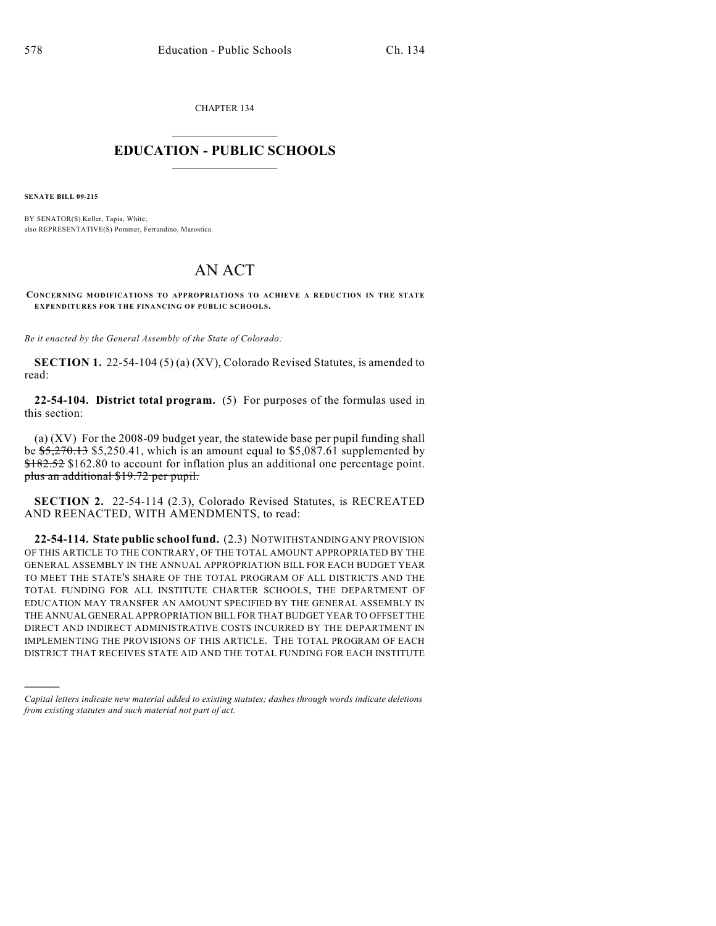CHAPTER 134  $\mathcal{L}_\text{max}$  . The set of the set of the set of the set of the set of the set of the set of the set of the set of the set of the set of the set of the set of the set of the set of the set of the set of the set of the set

### **EDUCATION - PUBLIC SCHOOLS**  $\_$   $\_$   $\_$   $\_$   $\_$   $\_$   $\_$   $\_$   $\_$

**SENATE BILL 09-215**

)))))

BY SENATOR(S) Keller, Tapia, White; also REPRESENTATIVE(S) Pommer, Ferrandino, Marostica.

# AN ACT

**CONCERNING MODIFICATIONS TO APPROPRIATIONS TO ACHIEVE A REDUCTION IN THE STATE EXPENDITURES FOR THE FINANCING OF PUBLIC SCHOOLS.**

*Be it enacted by the General Assembly of the State of Colorado:*

**SECTION 1.** 22-54-104 (5) (a) (XV), Colorado Revised Statutes, is amended to read:

**22-54-104. District total program.** (5) For purposes of the formulas used in this section:

(a) (XV) For the 2008-09 budget year, the statewide base per pupil funding shall be  $\frac{$5,270.13}{$5,250.41}$ , which is an amount equal to \$5,087.61 supplemented by \$182.52 \$162.80 to account for inflation plus an additional one percentage point. plus an additional \$19.72 per pupil.

**SECTION 2.** 22-54-114 (2.3), Colorado Revised Statutes, is RECREATED AND REENACTED, WITH AMENDMENTS, to read:

**22-54-114. State public school fund.** (2.3) NOTWITHSTANDING ANY PROVISION OF THIS ARTICLE TO THE CONTRARY, OF THE TOTAL AMOUNT APPROPRIATED BY THE GENERAL ASSEMBLY IN THE ANNUAL APPROPRIATION BILL FOR EACH BUDGET YEAR TO MEET THE STATE'S SHARE OF THE TOTAL PROGRAM OF ALL DISTRICTS AND THE TOTAL FUNDING FOR ALL INSTITUTE CHARTER SCHOOLS, THE DEPARTMENT OF EDUCATION MAY TRANSFER AN AMOUNT SPECIFIED BY THE GENERAL ASSEMBLY IN THE ANNUAL GENERAL APPROPRIATION BILL FOR THAT BUDGET YEAR TO OFFSET THE DIRECT AND INDIRECT ADMINISTRATIVE COSTS INCURRED BY THE DEPARTMENT IN IMPLEMENTING THE PROVISIONS OF THIS ARTICLE. THE TOTAL PROGRAM OF EACH DISTRICT THAT RECEIVES STATE AID AND THE TOTAL FUNDING FOR EACH INSTITUTE

*Capital letters indicate new material added to existing statutes; dashes through words indicate deletions from existing statutes and such material not part of act.*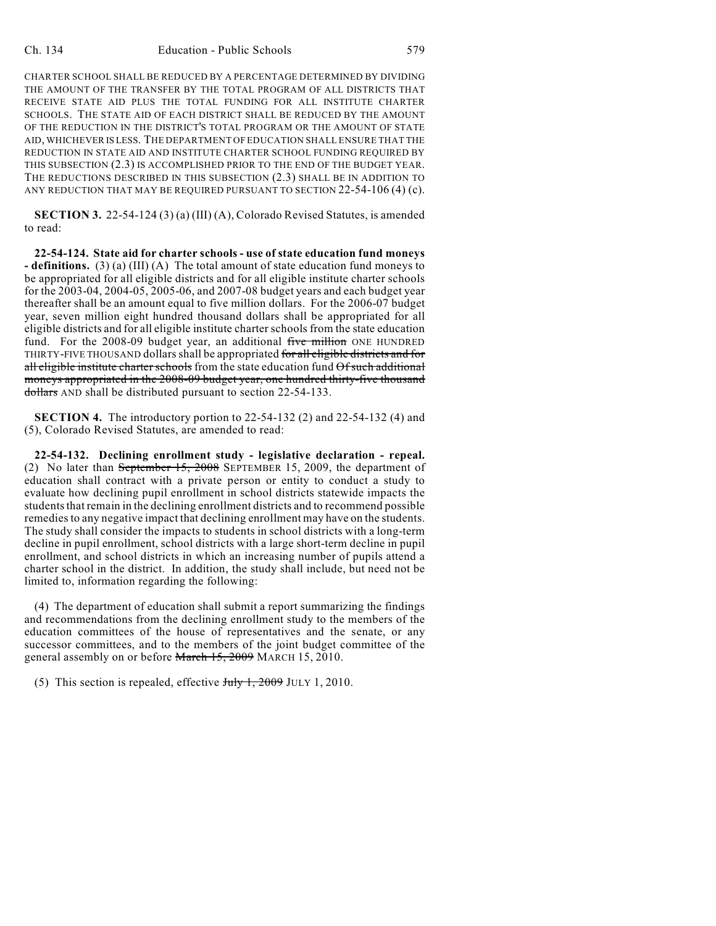CHARTER SCHOOL SHALL BE REDUCED BY A PERCENTAGE DETERMINED BY DIVIDING THE AMOUNT OF THE TRANSFER BY THE TOTAL PROGRAM OF ALL DISTRICTS THAT RECEIVE STATE AID PLUS THE TOTAL FUNDING FOR ALL INSTITUTE CHARTER SCHOOLS. THE STATE AID OF EACH DISTRICT SHALL BE REDUCED BY THE AMOUNT OF THE REDUCTION IN THE DISTRICT'S TOTAL PROGRAM OR THE AMOUNT OF STATE AID, WHICHEVER IS LESS. THE DEPARTMENT OF EDUCATION SHALL ENSURE THAT THE REDUCTION IN STATE AID AND INSTITUTE CHARTER SCHOOL FUNDING REQUIRED BY THIS SUBSECTION (2.3) IS ACCOMPLISHED PRIOR TO THE END OF THE BUDGET YEAR. THE REDUCTIONS DESCRIBED IN THIS SUBSECTION (2.3) SHALL BE IN ADDITION TO ANY REDUCTION THAT MAY BE REQUIRED PURSUANT TO SECTION 22-54-106 (4) (c).

**SECTION 3.** 22-54-124 (3) (a) (III) (A), Colorado Revised Statutes, is amended to read:

**22-54-124. State aid for charter schools - use of state education fund moneys - definitions.** (3) (a) (III) (A) The total amount of state education fund moneys to be appropriated for all eligible districts and for all eligible institute charter schools for the 2003-04, 2004-05, 2005-06, and 2007-08 budget years and each budget year thereafter shall be an amount equal to five million dollars. For the 2006-07 budget year, seven million eight hundred thousand dollars shall be appropriated for all eligible districts and for all eligible institute charter schools from the state education fund. For the 2008-09 budget year, an additional five million ONE HUNDRED THIRTY-FIVE THOUSAND dollars shall be appropriated for all eligible districts and for all eligible institute charter schools from the state education fund Of such additional moneys appropriated in the 2008-09 budget year, one hundred thirty-five thousand dollars AND shall be distributed pursuant to section 22-54-133.

**SECTION 4.** The introductory portion to 22-54-132 (2) and 22-54-132 (4) and (5), Colorado Revised Statutes, are amended to read:

**22-54-132. Declining enrollment study - legislative declaration - repeal.** (2) No later than September 15, 2008 SEPTEMBER 15, 2009, the department of education shall contract with a private person or entity to conduct a study to evaluate how declining pupil enrollment in school districts statewide impacts the students that remain in the declining enrollment districts and to recommend possible remedies to any negative impact that declining enrollment may have on the students. The study shall consider the impacts to students in school districts with a long-term decline in pupil enrollment, school districts with a large short-term decline in pupil enrollment, and school districts in which an increasing number of pupils attend a charter school in the district. In addition, the study shall include, but need not be limited to, information regarding the following:

(4) The department of education shall submit a report summarizing the findings and recommendations from the declining enrollment study to the members of the education committees of the house of representatives and the senate, or any successor committees, and to the members of the joint budget committee of the general assembly on or before March 15, 2009 MARCH 15, 2010.

(5) This section is repealed, effective  $J_{\text{uly}}$  1, 2009 JULY 1, 2010.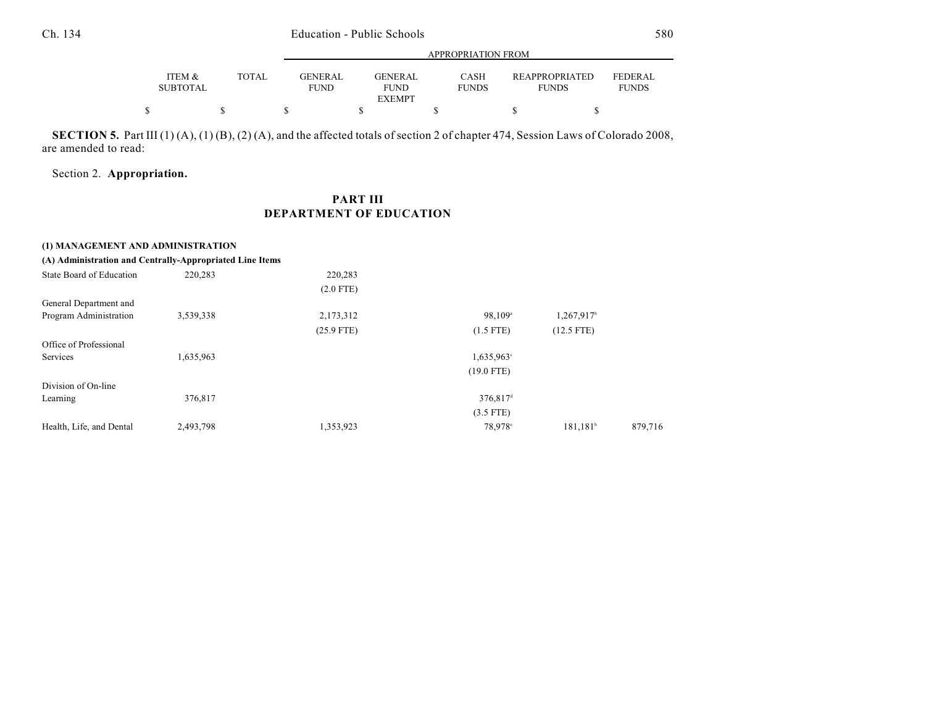|                                                    |              |                        | APPROPRIATION FROM                             |                      |                                       |                                |  |  |  |  |  |
|----------------------------------------------------|--------------|------------------------|------------------------------------------------|----------------------|---------------------------------------|--------------------------------|--|--|--|--|--|
| <b>ITEM <math>\&amp;</math></b><br><b>SUBTOTAL</b> | <b>TOTAL</b> | GENERAL<br><b>FUND</b> | <b>GENERAL</b><br><b>FUND</b><br><b>EXEMPT</b> | CASH<br><b>FUNDS</b> | <b>REAPPROPRIATED</b><br><b>FUNDS</b> | <b>FEDERAL</b><br><b>FUNDS</b> |  |  |  |  |  |
| \$                                                 |              |                        |                                                |                      |                                       |                                |  |  |  |  |  |

**SECTION 5.** Part III (1) (A), (1) (B), (2) (A), and the affected totals of section 2 of chapter 474, Session Laws of Colorado 2008, are amended to read:

Section 2. **Appropriation.**

## **PART III DEPARTMENT OF EDUCATION**

| (1) MANAGEMENT AND ADMINISTRATION                        |           |              |                       |                      |         |
|----------------------------------------------------------|-----------|--------------|-----------------------|----------------------|---------|
| (A) Administration and Centrally-Appropriated Line Items |           |              |                       |                      |         |
| State Board of Education                                 | 220,283   | 220,283      |                       |                      |         |
|                                                          |           | $(2.0$ FTE)  |                       |                      |         |
| General Department and                                   |           |              |                       |                      |         |
| Program Administration                                   | 3,539,338 | 2,173,312    | $98,109$ <sup>a</sup> | 1,267,917            |         |
|                                                          |           | $(25.9$ FTE) | $(1.5$ FTE)           | $(12.5$ FTE)         |         |
| Office of Professional                                   |           |              |                       |                      |         |
| Services                                                 | 1,635,963 |              | 1,635,963°            |                      |         |
|                                                          |           |              | $(19.0$ FTE)          |                      |         |
| Division of On-line                                      |           |              |                       |                      |         |
| Learning                                                 | 376,817   |              | 376,817 <sup>d</sup>  |                      |         |
|                                                          |           |              | $(3.5$ FTE)           |                      |         |
| Health, Life, and Dental                                 | 2,493,798 | 1,353,923    | 78.978°               | 181.181 <sup>b</sup> | 879,716 |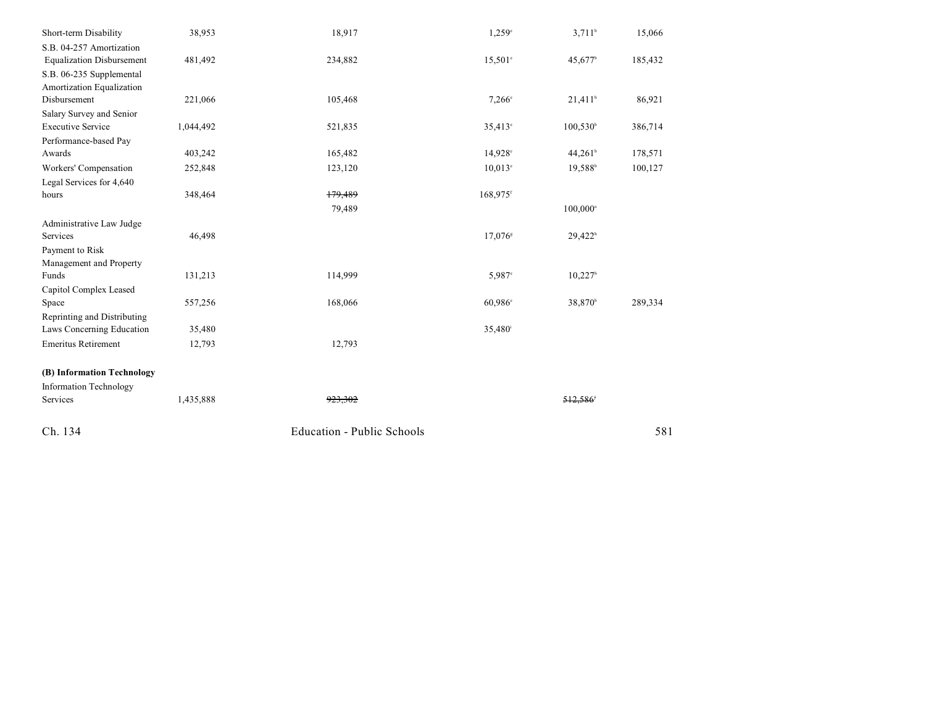| Short-term Disability            | 38,953    | 18,917                            | 1,259°                | $3,711$ <sup>b</sup>  | 15,066  |
|----------------------------------|-----------|-----------------------------------|-----------------------|-----------------------|---------|
| S.B. 04-257 Amortization         |           |                                   |                       |                       |         |
| <b>Equalization Disbursement</b> | 481,492   | 234,882                           | $15,501^{\circ}$      | 45,677 <sup>b</sup>   | 185,432 |
| S.B. 06-235 Supplemental         |           |                                   |                       |                       |         |
| Amortization Equalization        |           |                                   |                       |                       |         |
| Disbursement                     | 221,066   | 105,468                           | $7,266^{\circ}$       | $21,411^b$            | 86,921  |
| Salary Survey and Senior         |           |                                   |                       |                       |         |
| <b>Executive Service</b>         | 1,044,492 | 521,835                           | $35,413^{\circ}$      | $100,530^{\circ}$     | 386,714 |
| Performance-based Pay            |           |                                   |                       |                       |         |
| Awards                           | 403,242   | 165,482                           | 14,928 <sup>c</sup>   | 44,261 <sup>b</sup>   | 178,571 |
| Workers' Compensation            | 252,848   | 123,120                           | $10.013^{\circ}$      | 19.588 <sup>b</sup>   | 100,127 |
| Legal Services for 4,640         |           |                                   |                       |                       |         |
| hours                            | 348,464   | 179,489                           | 168,975 <sup>f</sup>  |                       |         |
|                                  |           | 79,489                            |                       | 100,000°              |         |
| Administrative Law Judge         |           |                                   |                       |                       |         |
| Services                         | 46,498    |                                   | $17,076$ <sup>s</sup> | 29,422 <sup>h</sup>   |         |
| Payment to Risk                  |           |                                   |                       |                       |         |
| Management and Property          |           |                                   |                       |                       |         |
| Funds                            | 131,213   | 114,999                           | 5,987 <sup>c</sup>    | $10,227$ <sup>b</sup> |         |
| Capitol Complex Leased           |           |                                   |                       |                       |         |
| Space                            | 557,256   | 168,066                           | 60,986°               | 38,870 <sup>b</sup>   | 289,334 |
| Reprinting and Distributing      |           |                                   |                       |                       |         |
| Laws Concerning Education        | 35,480    |                                   | 35,480 <sup>i</sup>   |                       |         |
| <b>Emeritus Retirement</b>       | 12,793    | 12,793                            |                       |                       |         |
| (B) Information Technology       |           |                                   |                       |                       |         |
| Information Technology           |           |                                   |                       |                       |         |
| Services                         | 1,435,888 | 923,302                           |                       | 512.586               |         |
| Ch. 134                          |           | <b>Education - Public Schools</b> |                       |                       | 581     |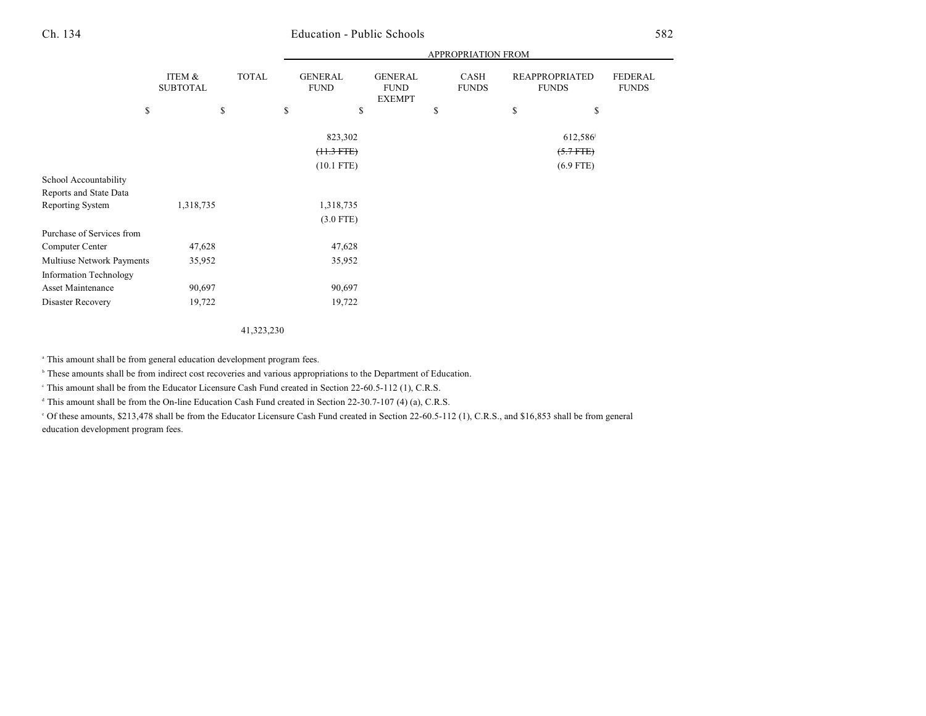# Ch. 134 Education - Public Schools 582

|                               |                           |              | APPROPRIATION FROM            |                                                |    |                             |    |                                       |                                |  |  |
|-------------------------------|---------------------------|--------------|-------------------------------|------------------------------------------------|----|-----------------------------|----|---------------------------------------|--------------------------------|--|--|
|                               | ITEM &<br><b>SUBTOTAL</b> | <b>TOTAL</b> | <b>GENERAL</b><br><b>FUND</b> | <b>GENERAL</b><br><b>FUND</b><br><b>EXEMPT</b> |    | <b>CASH</b><br><b>FUNDS</b> |    | <b>REAPPROPRIATED</b><br><b>FUNDS</b> | <b>FEDERAL</b><br><b>FUNDS</b> |  |  |
| \$                            |                           | \$           | \$<br>\$                      |                                                | \$ |                             | \$ | \$                                    |                                |  |  |
|                               |                           |              | 823,302                       |                                                |    |                             |    | 612,586                               |                                |  |  |
|                               |                           |              | $(11.3 FTE)$                  |                                                |    |                             |    | $(5.7$ FTE)                           |                                |  |  |
|                               |                           |              | $(10.1$ FTE)                  |                                                |    |                             |    | $(6.9$ FTE)                           |                                |  |  |
| School Accountability         |                           |              |                               |                                                |    |                             |    |                                       |                                |  |  |
| Reports and State Data        |                           |              |                               |                                                |    |                             |    |                                       |                                |  |  |
| <b>Reporting System</b>       | 1,318,735                 |              | 1,318,735                     |                                                |    |                             |    |                                       |                                |  |  |
|                               |                           |              | $(3.0$ FTE)                   |                                                |    |                             |    |                                       |                                |  |  |
| Purchase of Services from     |                           |              |                               |                                                |    |                             |    |                                       |                                |  |  |
| Computer Center               | 47,628                    |              | 47,628                        |                                                |    |                             |    |                                       |                                |  |  |
| Multiuse Network Payments     | 35,952                    |              | 35,952                        |                                                |    |                             |    |                                       |                                |  |  |
| <b>Information Technology</b> |                           |              |                               |                                                |    |                             |    |                                       |                                |  |  |
| Asset Maintenance             | 90,697                    |              | 90,697                        |                                                |    |                             |    |                                       |                                |  |  |
| Disaster Recovery             | 19,722                    |              | 19,722                        |                                                |    |                             |    |                                       |                                |  |  |
|                               |                           |              |                               |                                                |    |                             |    |                                       |                                |  |  |

41,323,230

<sup>a</sup> This amount shall be from general education development program fees.

<sup>b</sup> These amounts shall be from indirect cost recoveries and various appropriations to the Department of Education.

This amount shall be from the Educator Licensure Cash Fund created in Section 22-60.5-112 (1), C.R.S. <sup>c</sup>

 $\textdegree$  This amount shall be from the On-line Education Cash Fund created in Section 22-30.7-107 (4) (a), C.R.S.

 Of these amounts, \$213,478 shall be from the Educator Licensure Cash Fund created in Section 22-60.5-112 (1), C.R.S., and \$16,853 shall be from general <sup>e</sup> education development program fees.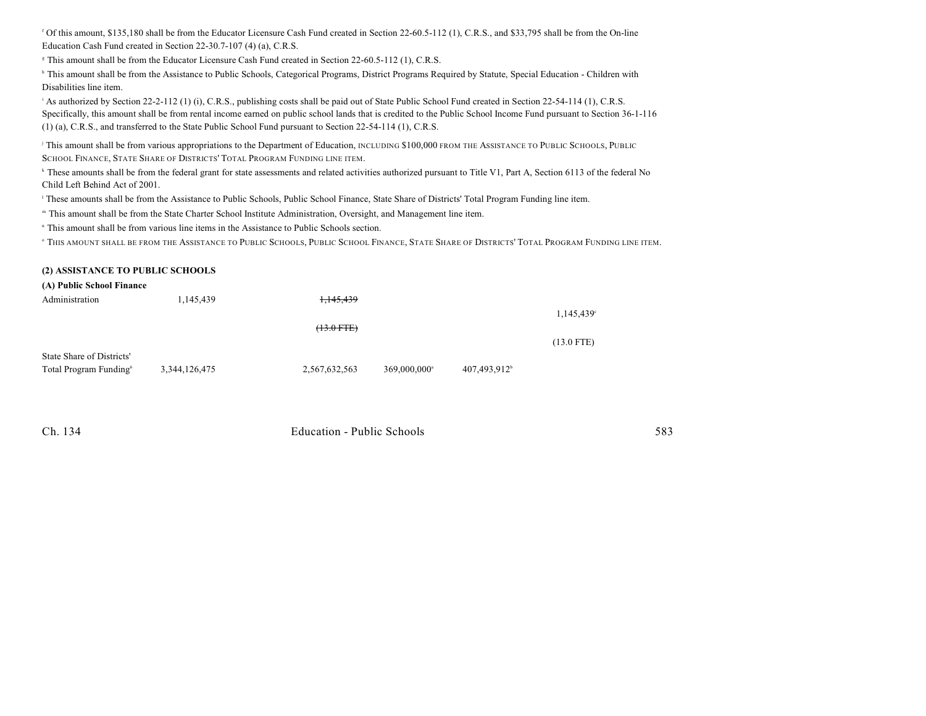Of this amount, \$135,180 shall be from the Educator Licensure Cash Fund created in Section 22-60.5-112 (1), C.R.S., and \$33,795 shall be from the On-line <sup>f</sup> Education Cash Fund created in Section 22-30.7-107 (4) (a), C.R.S.

<sup>8</sup> This amount shall be from the Educator Licensure Cash Fund created in Section 22-60.5-112 (1), C.R.S.

<sup>h</sup> This amount shall be from the Assistance to Public Schools, Categorical Programs, District Programs Required by Statute, Special Education - Children with Disabilities line item.

As authorized by Section 22-2-112 (1) (i), C.R.S., publishing costs shall be paid out of State Public School Fund created in Section 22-54-114 (1), C.R.S. Specifically, this amount shall be from rental income earned on public school lands that is credited to the Public School Income Fund pursuant to Section 36-1-116 (1) (a), C.R.S., and transferred to the State Public School Fund pursuant to Section 22-54-114 (1), C.R.S.

<sup>j</sup> This amount shall be from various appropriations to the Department of Education, INCLUDING \$100,000 FROM THE ASSISTANCE TO PUBLIC SCHOOLS, PUBLIC SCHOOL FINANCE, STATE SHARE OF DISTRICTS' TOTAL PROGRAM FUNDING LINE ITEM.

<sup>k</sup> These amounts shall be from the federal grant for state assessments and related activities authorized pursuant to Title V1, Part A, Section 6113 of the federal No Child Left Behind Act of 2001.

<sup>1</sup> These amounts shall be from the Assistance to Public Schools, Public School Finance, State Share of Districts' Total Program Funding line item.

This amount shall be from the State Charter School Institute Administration, Oversight, and Management line item. <sup>m</sup>

<sup>n</sup> This amount shall be from various line items in the Assistance to Public Schools section.

 $^\circ$  This amount shall be from the Assistance to Public Schools, Public School Finance, State Share of Districts' Total Program Funding line item.

#### **(2) ASSISTANCE TO PUBLIC SCHOOLS**

#### **(A) Public School Finance**

| Administration                     | 1,145,439     | <del>1,145,439</del> |                            |                          |              |
|------------------------------------|---------------|----------------------|----------------------------|--------------------------|--------------|
|                                    |               |                      |                            |                          | 1,145,439°   |
|                                    |               | $(13.0$ FTE)         |                            |                          |              |
|                                    |               |                      |                            |                          | $(13.0$ FTE) |
| State Share of Districts'          |               |                      |                            |                          |              |
| Total Program Funding <sup>6</sup> | 3,344,126,475 | 2,567,632,563        | $369,000,000$ <sup>a</sup> | 407,493,912 <sup>b</sup> |              |
|                                    |               |                      |                            |                          |              |

| Ch. 134 | Education - Public Schools |  |
|---------|----------------------------|--|
|         |                            |  |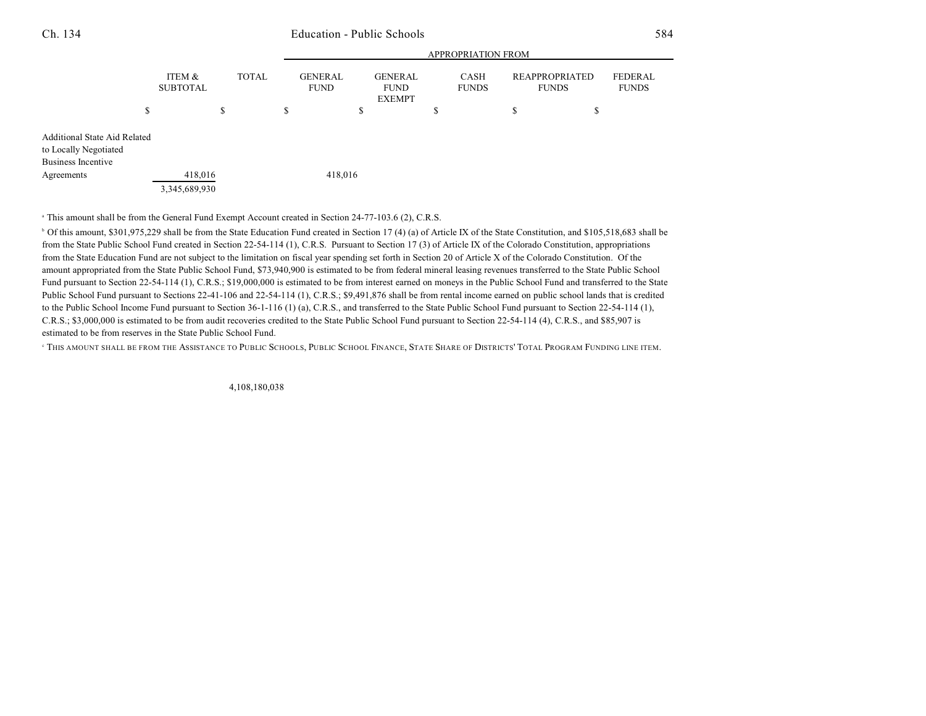### Ch. 134 Education - Public Schools 584

|                                                                                                  |                           | <b>APPROPRIATION FROM</b> |              |  |                               |                                                |    |                      |                                       |    |                                |
|--------------------------------------------------------------------------------------------------|---------------------------|---------------------------|--------------|--|-------------------------------|------------------------------------------------|----|----------------------|---------------------------------------|----|--------------------------------|
|                                                                                                  | ITEM &<br><b>SUBTOTAL</b> |                           | <b>TOTAL</b> |  | <b>GENERAL</b><br><b>FUND</b> | <b>GENERAL</b><br><b>FUND</b><br><b>EXEMPT</b> |    | CASH<br><b>FUNDS</b> | <b>REAPPROPRIATED</b><br><b>FUNDS</b> |    | <b>FEDERAL</b><br><b>FUNDS</b> |
| \$                                                                                               |                           | \$                        | \$           |  | \$                            |                                                | \$ |                      | S                                     | \$ |                                |
| <b>Additional State Aid Related</b><br>to Locally Negotiated<br>Business Incentive<br>Agreements | 418,016<br>3,345,689,930  |                           |              |  | 418,016                       |                                                |    |                      |                                       |    |                                |

<sup>a</sup> This amount shall be from the General Fund Exempt Account created in Section 24-77-103.6 (2), C.R.S.

<sup>b</sup> Of this amount, \$301,975,229 shall be from the State Education Fund created in Section 17 (4) (a) of Article IX of the State Constitution, and \$105,518,683 shall be from the State Public School Fund created in Section 22-54-114 (1), C.R.S. Pursuant to Section 17 (3) of Article IX of the Colorado Constitution, appropriations from the State Education Fund are not subject to the limitation on fiscal year spending set forth in Section 20 of Article X of the Colorado Constitution. Of the amount appropriated from the State Public School Fund, \$73,940,900 is estimated to be from federal mineral leasing revenues transferred to the State Public School Fund pursuant to Section 22-54-114 (1), C.R.S.; \$19,000,000 is estimated to be from interest earned on moneys in the Public School Fund and transferred to the State Public School Fund pursuant to Sections 22-41-106 and 22-54-114 (1), C.R.S.; \$9,491,876 shall be from rental income earned on public school lands that is credited to the Public School Income Fund pursuant to Section 36-1-116 (1) (a), C.R.S., and transferred to the State Public School Fund pursuant to Section 22-54-114 (1), C.R.S.; \$3,000,000 is estimated to be from audit recoveries credited to the State Public School Fund pursuant to Section 22-54-114 (4), C.R.S., and \$85,907 is estimated to be from reserves in the State Public School Fund.

<sup>e</sup> This amount shall be from the Assistance to Public Schools, Public School Finance, State Share of Districts' Total Program Funding line item.

4,108,180,038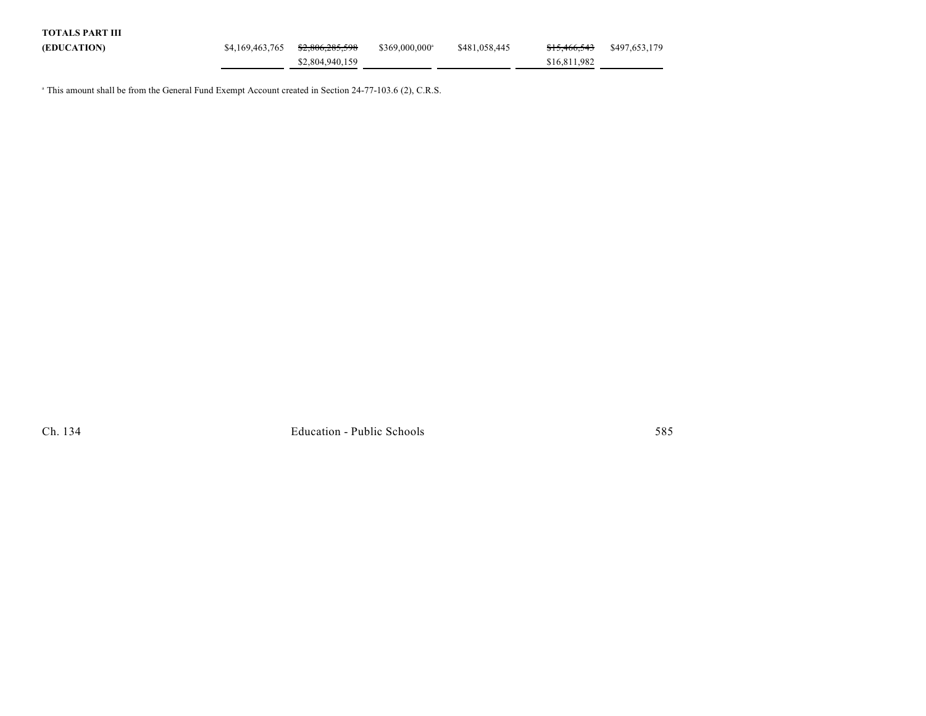| TOTALS PART III |                                 |                         |               |                         |               |
|-----------------|---------------------------------|-------------------------|---------------|-------------------------|---------------|
| (EDUCATION)     | \$4,169,463,765 \$2,806,285,598 | $$369,000,000^{\circ}$$ | \$481,058,445 | <del>\$15.466.543</del> | \$497,653,179 |
|                 | \$2,804,940,159                 |                         |               | \$16,811,982            |               |

<sup>a</sup> This amount shall be from the General Fund Exempt Account created in Section 24-77-103.6 (2), C.R.S.

Ch. 134 Education - Public Schools 585